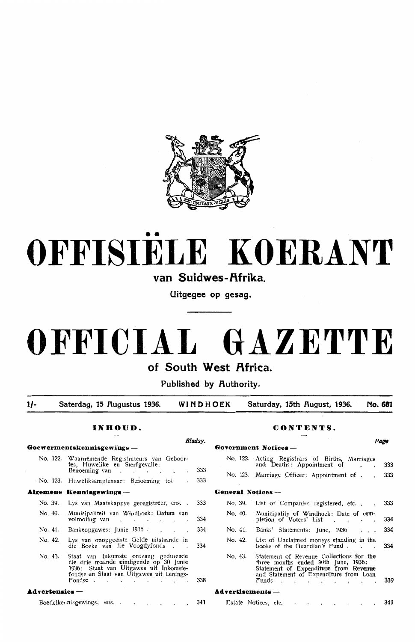

# •• **OFFISIELE KOERANT**

van Suidwes-Afrika

**Uitgegee op gesag.** 

# **OFFICIAL GAZETTE**

**of South West Africa.** 

**Published by Authority.** 

**1/- Saterdag, 15 f\ugustus 1936. WINDHOEK Saturday, 15th f\ugust, 1936. No. 681** 

|                       |                                                                                                                                                                                 | Bladsy. |                            |                                                                                                                                                                               | Page |
|-----------------------|---------------------------------------------------------------------------------------------------------------------------------------------------------------------------------|---------|----------------------------|-------------------------------------------------------------------------------------------------------------------------------------------------------------------------------|------|
|                       | Goewermentskennisgewings —                                                                                                                                                      |         |                            | Government Notices -                                                                                                                                                          |      |
|                       | No. 122. Waarnemende Registrateurs van Geboor-<br>tes, Huwelike en Sterfgevalle:<br>Benoeming van $\cdot$ $\cdot$ $\cdot$ $\cdot$ $\cdot$ $\cdot$ $\cdot$                       | 333     |                            | No. 122. Acting Registrars of Births, Marriages<br>and Deaths: Appointment of .                                                                                               | 3    |
|                       | No. 123. Huweliksamptenaar: Benoeming tot .                                                                                                                                     | 333     |                            | No. 123. Marriage Officer: Appointment of 33                                                                                                                                  |      |
|                       | Algemene Kennisgewings-                                                                                                                                                         |         | <b>General Notices ---</b> |                                                                                                                                                                               |      |
| No. 39.               | Lys van Maatskappye geregistreer, ens                                                                                                                                           | 333     |                            | No. 39. List of Companies registered, etc. 33                                                                                                                                 |      |
| No. 40.               | Munisipaliteit van Windhoek: Datum van<br>voltooiing van                                                                                                                        | 334     | No. 40.                    | Municipality of Windhoek: Date of com-<br>pletion of Voters' List 3                                                                                                           |      |
| No. 41.               | Bankeopgawes: Junie 1936.                                                                                                                                                       | 334     | No. 41.                    | Banks' Statements: June, 1936                                                                                                                                                 |      |
| No. 42.               | Lys van onopgeëiste Gelde uitstaande in<br>die Boeke van die Voogdyfonds.                                                                                                       | 334     |                            | No. 42. List of Unclaimed moneys standing in the<br>books of the Guardian's Fund. 3                                                                                           |      |
| No. 43.               | Staat van Inkomste ontvang gedurende<br>die drie maande eindigende op 30 Junie<br>1936: Staat van Uitgawes uit Inkomste-<br>fondse en Staat van Uitgawes uit Lenings-<br>Fondse | 338     | No. 43.                    | Statement of Revenue Collections for the<br>three months ended 30th June, 1936:<br>Statement of Expenditure from Revenue<br>and Statement of Expenditure from Loan<br>Funds 3 |      |
| <b>Advertensies</b> — |                                                                                                                                                                                 |         | ${\bf Ad}$ vertisements —  |                                                                                                                                                                               |      |

Boedelkennisgewings, ens. . 341

# **INHOUD. CONTENTS.**

# No. 122. Acting Registrars of Births, Marriages and Deaths: Appointment of . . 333 No. 123. Marriage Officer: Appointment of . . 333 No. 39. List of Companies registered, etc. . . 333 No. 40. Municipality of Windhoek: Date of completion of Voters' List . . . . 334 No. 41. Banks' Statements: June, 1936 . . . 334

|         | No. 42. List of Unclaimed moneys standing in the<br>books of the Guardian's Fund 334                                                                                         |     |
|---------|------------------------------------------------------------------------------------------------------------------------------------------------------------------------------|-----|
| No. 43. | Statement of Revenue Collections for the<br>three months ended 30th June, 1936:<br>Statement of Expenditure from Revenue<br>and Statement of Expenditure from Loan<br>Funds. | 339 |
|         | .                                                                                                                                                                            |     |

# **Advertisements**

| Estate Notices, etc. |  |  |  |  | . 341 |
|----------------------|--|--|--|--|-------|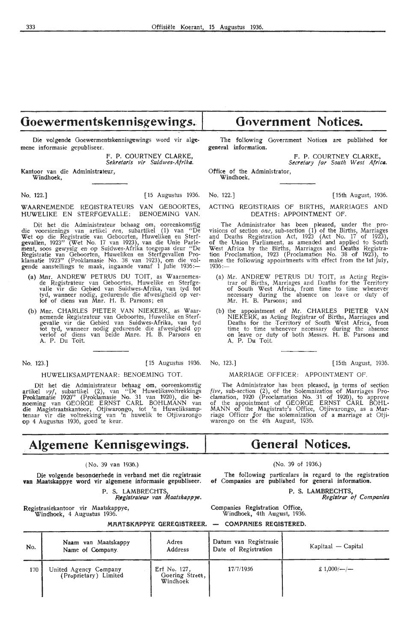# Goewermentskennisgewings.

Die volgende Goewermentskennisgewings word vir algemene informasie gepubliseer.

> f. P. COURTNEY CLARKE, *Sekretaris vir Suidwes-Afrika.*

Kantoor van die Administrateur, Windhoek,

No. 122.] [ 15 Augustus 1936. No. 122.] [ 15th August, 1936.

WAARNEMENDE REGISTRATEURS VAN GEBOORTES,<br>HUWELIKE EN STERFGEVALLE: BENOEMING VAN. HUWELIKE EN STERFGEVALLE:

Dit het die Administrateur behaag om, ooreenkomstig<br>die voorsienings van artikel *een,* subartikel (1) van "De Wet op die Registratie van Geboorten, Huweliken en Sterfgevallen, 1923'' (Wet No. 17 van 1923), van die Unie Parle-<br>ment, soos gewysig en op Suidwes-Afrika toegepas deur "De Registratie van Geboorten, Huweliken en Sterfgevallen Proklamatie 1923'' (Proklamasie No. 38 van 1923), om die vol-<br>gende aanstellings te maak, ingaande vanaf 1 Julie 1936:—

- (a) Mnr. ANDREW PETRUS DU TOIT, as Waarnemen-<br>de Registrateur van Geboortes, Huwelike en Sterfgevalle vir die Gebied van Suidwes-Afrika, van tyd tot tyd, wanneer nodig, gedurende die afwesigheid op ver-<br>lof of diens van Mnr. H. B. Parsons; en
- (b) Mnr. CHARLES PIETER VAN NIEKERK, as Waarnemende Registrateur van Geboortes, Huwelike en Sterfgevalle vir die Gebied van Suidwes-Afrika, van tyd tot tyd, wanneer nodig gedurende die afwesigheid op<br>verlof of diens van beide Mnre. H. B. Parsons en<br>A. P. Du Toit.

T

# HUWELIKSAMPTENAAR: BENOEMING TOT..

Dit het die Administrateur behaag om, ooreenkomstig artikel *vyf*, subartikel (2), van "De Huweliksvoltrekkings Proklamatie 1920" (Proklamasie No. 31 van 1920), die benoeming van GEORGE ERNST CARL BOHLMANN van die Magistraatskantoor, Otjiwarongo, tot 'n Huweliksamptenaar vir die voltrekking van 'n huwelik te Otjiwarongo op 4 Augustus 1936, goed te keur.

# **Algemene Kennisgewings.**

# ( No. 39 van 1936.)

Die volgende besonderhede in verband met die registrasie **van** Maatskappye word vir algemene informasie gepubliseer.

# P. S. LAMBRECHTS *Registrateur van Maatskappye.*

**MR.R.TSKR.PPYE GEREGISTREER.** 

Registrasiekantoor vir Maatskappye, Windhoek, 4 Augustus 1936.

**Government Notices.** 

The following Government Notices are published for general information.

> F. P. COURTNEY CLARKE, Secretary for South West Africa.

Office of the Administrator, Windhoek.

ACTING REGISTRARS Of BIRTHS, MARRIAGES AND DEATHS: APPOINTMENT OF.

The Administrator has been pleased, under the provisions of section *one*, sub-section (1) of the Births, Marriages and Deaths Registration Act,  $1923'$  (Act No. 17 of 1923), of the Union Parliament, as amended and applied to South West Africa by the Births, Marriages and Deaths Registra-tion Proclamation, 1923 (Proclamation No. 38 of 1923), *to*  make the following appointments with effect from the 1st  $july$ , 1936:-

- (a) Mr. ANDREW PETRUS DU TOIT, as Acting Regis- trar of Births, Marriages and Deaths for the Territory of South West Africa, from time to time whenever neoessary during the absence on leave or duty of Mr. H. B. Parsons; and
- (b) the appointment of Mr. CHARLES PIETER VAN NIEKERK, as Acting Registrar of Births, Marriages and Deaths for the Territory of South West Africa, from time to time whenever necessary during the absence on leave or duty of both Messrs. H. B. Parsons and A. P. Du Toit.

No. 123.] [15 Augustus 1936. No. 123.] [ 15th August, 1936.

MARRIAGE OFFICER: APPOINTMENT OF.

The Administrator has been pleased, in terms of section *five,* sub-section (2), of the Solemnization of Marriages Proclamation, 1920 (Proclamation No. 31 of 1920), to approve of the appointment of GEORGE ERNST CARL BOHL-MANN of the Magistrate's Office, Otjiwarongo, as a Mar-<br>riage Officer for the solemnization of a marriage at Otji-<br>warongo on the 4th August, 1936.

# **General Notices.**

# (No. 39 of 1936.)

The following particulars *in* regard to the registration of Compaaies are published for general information.

> P. S. LAMBRECHTS, *Registra,* cf *Companies.*

Companies Registration Offioe, Windhoek, 4th August, 1936.

**COMPR.NIES REGISTERED.** 

Naam van Maatskappy Adres Datum van Registrasie

| No. | Naam van Maatskappy<br>Name of Company.        | Adres<br>Address                            | Datum van Registrasie<br>Date of Registration | Kapitaal — Capital        |
|-----|------------------------------------------------|---------------------------------------------|-----------------------------------------------|---------------------------|
| 170 | United Agency Company<br>(Proprietary) Limited | Erf No. 127,<br>Goering Street,<br>Windhoek | 17/7/1936                                     | £ $1,000/$ - $\leftarrow$ |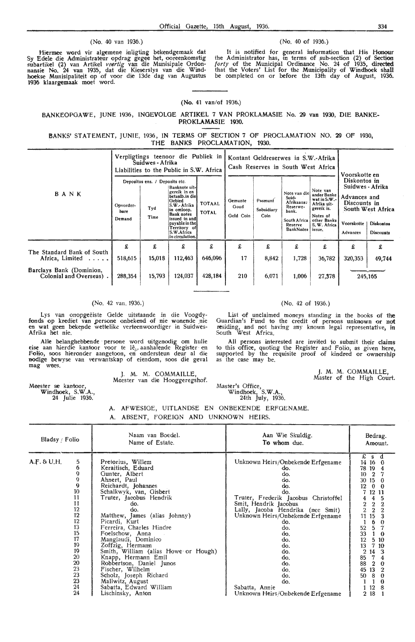# (No. 40 van 1936.) (No. 40 of 1936.)

ttiermee word vir algemene inligting bekendgemaak dat Sy Edele die Administrateur opdrag gegee het, ooreenkomstig subartikel (2) van Artikel *veertig* van die Munisipale Ordonnansie No. 24 van 1935, dat die Kieserslys van die Wind-<br>hoekse Munisipaliteit op of voor die 13de dag van Augustus 1936 klaargemaak moet word.

It is notified for general information that His Honour the Administrator has, in terms of sub-section (2) of Section *forty* of the Municipal Ordinance No. 24 of 1935, directed that the Voters' List for the Municipality of Windhoek shall<br>be completed on or before the 13th day of August, 1936.

# (No. 41 van/of 1936.)

BANKEOPGAWE, JUNE 1936, INGEVOLGE ARTIKEL 7 VAN PROKLAMASIE No. 29 van 1930, DIE BANKE-PROKLAMASIE 1930.

5ANKS' STATEMENT, JUNIE, 1936, IN TERMS OF SECTION 7 OF PROCLAMATION NO. 29 OF 1930, THE BANKS PROCLAMATION, 1930.

|                                                                                                                                            | Verpligtings teenoor die Publiek in<br>Suidwes - Afrika<br>Liabilities to the Public in S.W. Africa |                                               |                                                                                                                                                                                           |                               | Kontant Geldreserwes in S.W.-Afrika<br>Cash Reserves in South West Africa |                               |                                                                                                         |                                                                                                                           |                                                                                                                                                                       |                               |
|--------------------------------------------------------------------------------------------------------------------------------------------|-----------------------------------------------------------------------------------------------------|-----------------------------------------------|-------------------------------------------------------------------------------------------------------------------------------------------------------------------------------------------|-------------------------------|---------------------------------------------------------------------------|-------------------------------|---------------------------------------------------------------------------------------------------------|---------------------------------------------------------------------------------------------------------------------------|-----------------------------------------------------------------------------------------------------------------------------------------------------------------------|-------------------------------|
| BANK                                                                                                                                       | Opvorder-<br>bare<br>Demand                                                                         | Depositos ens. / Deposits etc.<br>Tyd<br>Time | Banknote uit- <br>gereik in en<br>betaalb.in die<br>Gebied<br>S.W. Afrika<br>in omloop.<br>Bank notes<br>issued in and<br>payable in the<br>Territory of<br>S.W.Africa<br>in circulation. | <b>TOTAAL</b><br><b>TOTAL</b> | Gemunte<br>Goud<br>Gold Coin                                              | Pasmunt<br>Subsidiary<br>Coin | Note van die<br>Suid-<br>Afrikaanse<br>Reserwe-<br>bank.<br>South Africa<br>Reserve<br><b>BankNotes</b> | Note van<br>ander Banke<br>wat in S.W.-<br>Afrika uit-<br>gereik is.<br>Notes of<br>other Banks<br>S. W. Africa<br>issue. | Voorskotte en<br>Diskontos in<br>Suidwes - Afrika<br>Advances and<br>Discounts in<br>South West Africa<br>Voorskotte<br>Advances<br>£<br>£<br>£<br>320,353<br>245,165 | <b>Diskontos</b><br>Discounts |
| The Standard Bank of South<br>Africa, Limited<br>$\sim$ $\sim$ $\sim$ $\sim$ $\sim$<br>Barclays Bank (Dominion,<br>Colonial and Overseas). | £<br>518,615<br>288,354                                                                             | £<br>15,018<br>15,793                         | £<br>112,463<br>124,037                                                                                                                                                                   | £<br>646,096<br>428,184       | £<br>17<br>210                                                            | £<br>8,842<br>6,071           | £<br>1,728<br>1,006                                                                                     | 36,782<br>27,378                                                                                                          |                                                                                                                                                                       | 49,744                        |

### (No. 42 van. 1936.)

Lys van onopgeeiste Gelde uitstaande in die Voogdy-<br>fonds op krediet van persone onbekend of nie wonende nie en wat geen bekende wettelike verteenwoordiger in Suidwes-Afrika het nie.

AUe belanghebbende · persone word uitgenodig om hulle eise aan hierdie kantoor voor te lê<sub>v</sub> aanhalende Register en<br>Folio, soos hieronder aangetoon, en ondersteun deur al die<br>nodige bewyse van verwantskap of eiendom, soos die geval mag wees.

> J. M. M. COMMAILLE, Meester van die Hooggeregshof.

(No. 42 of 1936.)

List of unclaimed moneys standing in the books of the Guardian's Fund to the credit of persons unknown or not residing, and not having any known legal representative, in South West Africa.

All persons interested are invited to submit their claims to this offioe, quoting the Register and Folio; as given here, supported by the requisite proof of kindred or ownership as the case may be.

> J. M. M. COMMAILLE, Master of the High Oourt.

Meester se kantoor, Windhoek, S.W.A., 24 Julie 1936.

> A. AFWESIGE, UITLANDSE EN ONBEKENDE ERFGENAME. A. ABSENT, FOREIGN AND UNKNOWN HEIRS.

Master's Office,

Windhoek, S.W.A., 24th July, 1936.

| Bladsy / Folio |                                                                                                                                          | Naam van Boedel.<br>Name of Estate.                                                                                                                                                                                                                                                                                                                                                                                                                                                                                           | Aan Wie Skuldig.<br>To whom due.                                                                                                                                                                                                                                                                                                                     | Bedrag.<br>Amount.                                                                                                                                                                                                                                                                                                                                                                                                                                                                         |
|----------------|------------------------------------------------------------------------------------------------------------------------------------------|-------------------------------------------------------------------------------------------------------------------------------------------------------------------------------------------------------------------------------------------------------------------------------------------------------------------------------------------------------------------------------------------------------------------------------------------------------------------------------------------------------------------------------|------------------------------------------------------------------------------------------------------------------------------------------------------------------------------------------------------------------------------------------------------------------------------------------------------------------------------------------------------|--------------------------------------------------------------------------------------------------------------------------------------------------------------------------------------------------------------------------------------------------------------------------------------------------------------------------------------------------------------------------------------------------------------------------------------------------------------------------------------------|
| A.F. & U.H.    | 5<br>6<br>9<br>9<br>9<br>10<br>11<br>11<br>12<br>12<br>12<br>13<br>15<br>17<br>19<br>19<br>20<br>20<br>23<br>$\frac{23}{23}$<br>24<br>24 | Pretorius, Willem<br>Keraitisch, Eduard<br>Gunter, Albert<br>Ahnert, Paul<br>Reichardt, Johannes<br>Schalkwyk, van, Gisbert<br>Truter, Jacobus Hendrik<br>do.<br>do.<br>Matthew, James (alias Johnny)<br>Picardi, Kurt<br>Ferreira, Charles Hindre<br>Foelschow, Anna<br>Mangiaudi, Dominico<br>Zoffzig, Hermann<br>Smith, William (alias Howe or Hough)<br>Knapp, Hermann Emil<br>Robbertson, Daniel Junos<br>Fischer, Wilhelm<br>Scholz, Joseph Richard<br>Mallwitz, August<br>Sabatta, Edward William<br>Lischinsky, Anton | Unknown Heirs/Onbekende Erfgename<br>٠do.<br>do.<br>do.<br>do.<br>do.<br>Truter, Frederik Jacobus Christoffel<br>Smit, Hendrik Jacobus<br>Lally, Jacoba Hendrika (nee Smit)<br>Unknown Heirs/Onbekende Erfgename<br>do.<br>do.<br>do.<br>do.<br>do.<br>do.<br>do.<br>do.<br>do.<br>do.<br>do.<br>Sabatta, Annie<br>Unknown Heirs/Onbekende Erfgename | £<br>d<br>s<br>14 16<br>-0<br>78<br>19<br>$\overline{2}$<br>10<br>30 15<br>$\theta$<br>12<br>$\bf{0}$<br>$\bf{0}$<br>12 11<br>4<br>5<br>$\overline{2}$<br>$\mathbf 2$<br>2<br>$\,2\,$<br>$\bf 2$<br>$\mathbf{2}$<br>15<br>11<br>3<br>6<br>$\Omega$<br>$\overline{5}$<br>52<br>33<br>$\theta$<br>12<br>5<br>10<br>13<br>7<br>10<br>$\overline{2}$<br>14<br>3<br>7<br>85<br>$\overline{4}$<br>88<br>$\mathbf{2}$<br>$\theta$<br>45<br>13<br>2<br>50<br>8<br>0<br>$\Omega$<br>12<br>8<br>2 18 |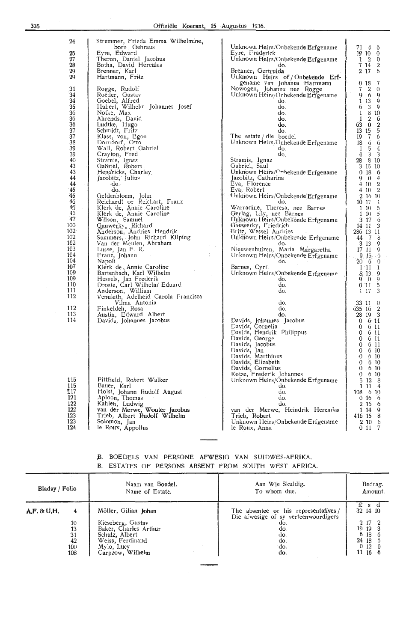| 24<br>25<br>27<br>28<br>29<br>29                                                                                                                                                                                                                         | Stremmer, Frieda Emma Wilhelmine,<br>born Gehraus<br>Eyre, Edward<br>Theron, Daniel Jacobus<br>Botha, David Hercules<br>Brenner, Karl<br>Hartmann, Fritz                                                                                                                                                                                                                                                                                                                                                                                                                                                                                                                                                                                                                                                                                                                                          |  |
|----------------------------------------------------------------------------------------------------------------------------------------------------------------------------------------------------------------------------------------------------------|---------------------------------------------------------------------------------------------------------------------------------------------------------------------------------------------------------------------------------------------------------------------------------------------------------------------------------------------------------------------------------------------------------------------------------------------------------------------------------------------------------------------------------------------------------------------------------------------------------------------------------------------------------------------------------------------------------------------------------------------------------------------------------------------------------------------------------------------------------------------------------------------------|--|
| 31<br>34<br>34<br>35<br>36<br>36<br>36<br>37<br>37<br>38<br>39<br>39<br>40<br>43<br>43<br>44<br>44<br>-45<br>45<br>46<br>46<br>46<br>47<br>100<br>102.<br>102<br>102<br>103<br>104<br>104<br>107<br>109<br>109<br>110<br>111<br>112<br>112<br>113<br>114 | Rogge, Rudolf<br>Roeder, Gustav<br>Goebel, Alfred<br>Hubert, Wilhelm Johannes Josef<br>Notke, Max<br>Ahrends, David<br>Ludtke, Hugo<br>Schmidt, Fritz<br>Klass, von, Egon<br>Dorndorf, Otto<br>Wall, Robert Gabriel<br>Crayton, Fred<br>Stramis, Ignaz<br>Gabriel, Robert<br>Hendricks, Charley<br>Jacobitz, Julius<br>do.<br>do.<br>Geldenbloem, John<br>Reichardt or Reichart, Franz<br>Klerk de, Annie Caroline<br>Klerk de, Annie Caroline<br>Wilson, Samuel<br>Gauwerky, Richard<br>Anderson, Andries Hendrik<br>Summers, John Richard Kilping<br>Van der Meulen, Abraham<br>Lusse, Jan F. R.<br>Franz, Johann<br>Napoli<br>Klerk de Annie Caroline<br>Bartenbach, Karl Wilhelm<br>Hessels, Jan Frederik<br>Droste, Carl Wilhelm Eduard<br>Anderson, William<br>Venuleth, Adelheid Carola Francisca<br>Vilma Antonia<br>Finkeldeh, Rosa<br>Austin, Edward Albert<br>Davids, Johannes Jacobus |  |
|                                                                                                                                                                                                                                                          |                                                                                                                                                                                                                                                                                                                                                                                                                                                                                                                                                                                                                                                                                                                                                                                                                                                                                                   |  |

Pittfield, Robert Walker

Holst, Johann Rudolf August

Kahlen, Ludwig<br>van der Merwe, Wouter Jacobus Trieb, Albert Rudolf Wilhelm Solomon, Jan

Bauer, Karl

Aploon, Thomas

le Roux, Appollus

| Unknown Heirs/Onbekende Erfgename                         | ľ<br>2<br>0                                         |
|-----------------------------------------------------------|-----------------------------------------------------|
| do.<br>Brenner, Gertruida                                 | 7<br>14<br>$\frac{2}{6}$<br>17<br>2                 |
| of / Onbekende Erf-<br>Unknown<br>Heirs                   |                                                     |
| gename van Johanna Hartmann<br>Nowogen, Johanna nee Rogge | 18<br>7<br>0<br>7<br>$\bf{0}$<br>2                  |
| Unknown Heirs/Onbekende Erfgename                         | 9<br>9<br>6                                         |
| do.                                                       | 9<br>1<br>13                                        |
| do.<br>do.                                                | 6<br>3<br>9<br>8<br>10<br>1                         |
| do.                                                       | $\mathbf{1}$<br>$\mathbf 2$<br>6                    |
| do.                                                       | $\boldsymbol{2}$<br>63<br>$\bf{0}$                  |
| do.<br>The estate / die boedel                            | $\overline{5}$<br>15<br>13<br>6<br>7<br>19          |
| Unknown Heirs/Onbekende Erfgename                         | 6<br>18<br>6                                        |
| do.                                                       | 5<br>4<br>1                                         |
| do.<br>Stramis,<br>Ignaz                                  | 4<br>3<br>3<br>8<br>28<br>10                        |
| Gabriel, Saul                                             | 15<br>З<br>10                                       |
| Unknown Heirs/Onbekende Erfgename                         | 0<br>18<br>6                                        |
| Jacobitz, Catharina                                       | 9<br>4<br>0<br>4<br>10                              |
| Eva, Florence<br>Eva, Robert                              | $\frac{2}{2}$<br>4<br>10                            |
| Unknown Heirs/Onbekende Erfgename                         | $\boldsymbol{2}$<br>16<br>10                        |
| do.<br>Warradine, Theresa, nee Barnes                     | 10 17<br>1<br>10<br>1                               |
| Gerlag, Lily, nee Barnes                                  | $\frac{5}{5}$<br>1<br>10                            |
| Unknown Heirs/Onbekende Erfgename<br>Gauwerky, Friedrich  | 6<br>3 17<br>3<br>14 11                             |
| Britz, Wessel Andries                                     | 11<br>286 13                                        |
| Unknown Heirs/Onbekende Erfgename                         | 7<br>8<br>44                                        |
| do.<br>Nieuwenhuizen, Maria Margaretha                    | 9<br>13<br>3<br>9<br>17<br>11                       |
| Unknown Heirs/Onbekende Erfgename                         | $9.15 - 6$                                          |
| do.<br>Barnes, Cyril                                      | $\boldsymbol{0}$<br>20<br>6<br>1<br>$1 \t11$        |
| Unknown Heirs/Onbekende Erfgename                         | .8, 13.                                             |
| do.                                                       | $\overline{0}$<br>9<br>0.11                         |
| do.<br>do.                                                | 9953<br>17<br>1                                     |
|                                                           |                                                     |
| do.<br>do.                                                | 33<br>11<br>$\theta$<br>$\overline{2}$<br>635<br>16 |
| do.                                                       | 3<br>19<br>28                                       |
| Davids, Johannes<br>Jacobus                               | 6 11<br>0<br>11<br>0<br>6                           |
| Davids, Cornelia<br>Philippus<br>Davids, Hendrik          | 0<br>6<br>11                                        |
| Davids, George                                            | 11<br>0<br>6                                        |
| Davids, Jacobus<br>Davids, Jan                            | 11<br>0<br>6<br>0<br>6<br>10                        |
| Davids, Marthinus                                         | 0<br>6<br>10                                        |
| Davids, Elizabeth                                         | 0<br>6<br>10<br>0<br>10<br>6                        |
| Davids, Cornelius<br>Kotze, Frederik Johannes             | 0<br>6<br>10                                        |
| Unknown Heirs/Onbekende Erfgename                         | 5<br>12<br>8                                        |
| do.<br>do.                                                | 1<br>11<br>4<br>108<br>6<br>10                      |
| do.                                                       | 0 16<br>6                                           |
| do.<br>Heremias<br>Heindrik                               | 2<br>6<br>16<br>14<br>9<br>1                        |
| der<br>Merwe,<br>van<br>Trieb, Robert                     | 416<br>15<br>8                                      |
| Unknown Heirs/Onbekende Erfgename                         | 10<br>6<br>2                                        |
| le Roux, Anna                                             | 7<br>0<br>11                                        |

Unknown Heirs/Onbekende Erfgename<br>Eyre, Frederick

71 4 6  $19 \t10 \t0$ 

Ì

| B. BOEDELS VAN PERSONE AFWESIG VAN SUIDWES-AFRIKA.   |  |  |  |  |
|------------------------------------------------------|--|--|--|--|
| B. ESTATES OF PERSONS ABSENT FROM SOUTH WEST AFRICA. |  |  |  |  |

| Bladsy / Folio |                                         | Naam van Boedel.                                                                                                                           | Aan Wie Skuldig.                                                                                                        | Bedrag.                                                                      |
|----------------|-----------------------------------------|--------------------------------------------------------------------------------------------------------------------------------------------|-------------------------------------------------------------------------------------------------------------------------|------------------------------------------------------------------------------|
|                |                                         | Name of Estate.                                                                                                                            | To whom due.                                                                                                            | Amount.                                                                      |
| A.F. & U.H.    | 4<br>10<br>13<br>31<br>42<br>100<br>108 | Möller, Gilian Johan<br>Kieseberg, Gustav<br>Baker, Charles Arthur<br>Schulz, Albert<br>Weiss, Ferdinand<br>Mylo, Lucy<br>Carpzow, Wilhelm | The absentee or his representatives /<br>Die afwesige of sy verteenwoordigers<br>do.<br>do.<br>do.<br>do.<br>do.<br>do. | £sd<br>32 14 10<br>2 17 2<br>19 19 3<br>6 18 6<br>24 18 6<br>0120<br>11 16 6 |

l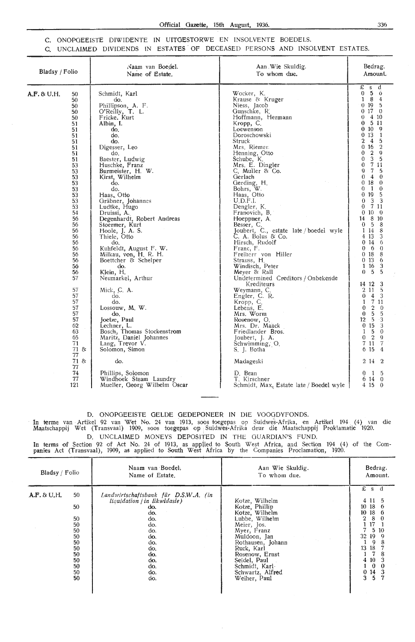# C. ONOPGEEISTE DIWIDENTE IN UITGESTORWE EN JNSOLVENTE BOEDELS. C. UNCLAIMED DIVIDENDS IN ESTATES OF DECEASED PERSONS AND INSOLVENT ESTATES.

| Bladsy / Folio |                                                                                                                                                                                                                                                                                                                 | Naam van Boedel.<br>Name of Estate.                                                                                                                                                                                                                                                                                                                                                                                                                                                                                                                                                                                                                                                                                                                       | Aan Wie Skuldig.<br>To whom due.                                                                                                                                                                                                                                                                                                                                                                                                                                                                                                                                                                                                                                                                                                                                                                                                          | Bedrag.<br>Amount.                                                                                                                                                                                                                                                                                                                                                                                                                                                                                                                                                                                                                                                                                                                                                                                                                                                                                                                                                                                                                                        |
|----------------|-----------------------------------------------------------------------------------------------------------------------------------------------------------------------------------------------------------------------------------------------------------------------------------------------------------------|-----------------------------------------------------------------------------------------------------------------------------------------------------------------------------------------------------------------------------------------------------------------------------------------------------------------------------------------------------------------------------------------------------------------------------------------------------------------------------------------------------------------------------------------------------------------------------------------------------------------------------------------------------------------------------------------------------------------------------------------------------------|-------------------------------------------------------------------------------------------------------------------------------------------------------------------------------------------------------------------------------------------------------------------------------------------------------------------------------------------------------------------------------------------------------------------------------------------------------------------------------------------------------------------------------------------------------------------------------------------------------------------------------------------------------------------------------------------------------------------------------------------------------------------------------------------------------------------------------------------|-----------------------------------------------------------------------------------------------------------------------------------------------------------------------------------------------------------------------------------------------------------------------------------------------------------------------------------------------------------------------------------------------------------------------------------------------------------------------------------------------------------------------------------------------------------------------------------------------------------------------------------------------------------------------------------------------------------------------------------------------------------------------------------------------------------------------------------------------------------------------------------------------------------------------------------------------------------------------------------------------------------------------------------------------------------|
| A.F. & U.H.    | 50<br>50<br>50<br>50<br>50<br>51<br>51<br>51<br>51<br>51<br>51<br>51<br>53<br>53<br>53<br>53<br>53<br>53<br>53<br>53<br>54<br>56<br>56<br>56<br>56<br>56<br>56<br>56<br>56<br>56<br>56<br>57<br>57<br>57<br>57<br>57<br>57<br>57<br>62<br>63<br>65<br>$\overline{71}$<br>71 &<br>77<br>$71$ &<br>77<br>74<br>77 | Schmidt, Karl<br>do.<br>Phillipson, A. F.<br>O'Reilly, T. L.<br>Fricke. Kurt<br>Albin, I.<br>do.<br>do.<br>do.<br>Digesser, Leo<br>do.<br>Baester, Ludwig<br>Huschke, Franz<br>Burmeister, H. W.<br>Kirst, Wilhelm<br>do.<br>do.<br>Haas, Otto<br>Gräbner, Johannes<br>Ludtke, Hugo<br>Druissi, A.<br>Degenhardt, Robert Andreas<br>Stoermer, Kurt<br>Hoole, J. A. S.<br>Thiele, Otto<br>do.<br>Kuhfeldt, August F. W.<br>Milkau, von, H. R. H.<br>Boettcher & Schelper<br>do.<br>Klein, H.<br>Neumarkel, Arthur<br>Mick, C. A.<br>do.<br>do.<br>Lossouw, M. W.<br>do.<br>Joetze, Paul<br>Lechner, L.<br>Bosch, Thomas Stockenstrom<br>Maritz, Daniel Johannes<br>Lang, Trevor V.<br>Solomon, Simon<br>do.<br>Phillips, Solomon<br>Windhoek Steam Laundry | Wocker, K.<br>Krause & Kruger<br>Niess, Jacob<br>Gunschke, R.<br>Hoffmann, Hermann<br>Kropp, C.<br>Loewenson<br>Doroschowski<br>Struck<br>Mrs. Riemer.<br>Henning, Otto<br>Schube, K.<br>Mrs. E. Dingler<br>C. Muller & Co.<br>Gerlach<br>Gerding, H.<br>Bohrs, W.<br>Haas, Otto<br>$U_{\cdot}D.F_{\cdot}I_{\cdot}$<br>Dengler, K.<br>Franovich, B.<br>Hoeppner, A.<br>Besser, C.<br>Joubert, C., estate late / boedel wyle<br>$C. A.$ Bolus & $Co.$<br>Hirsch, Rudolf<br>Franc, F.<br>Freiherr von Hiller<br>Strauss, H.<br>Windisch, Peter<br>Meyer & Rall<br>Undetermined Creditors / Onbekende<br>Krediteurs<br>Weymann, C.<br>Engler, C. R.<br>Kropp, C.<br>Lebens, E.<br>Mrs. Worm<br>Rosenow, O.<br>Mrs. Dr. Maack<br>Friedlander Bros.<br>Joubert, J. A.<br>Schwimming, O.<br>S. J. Botha<br>Madageski<br>D. Bean<br>T. Kirschner | £<br>đ<br>S<br>0 <sub>5</sub><br>ó<br>1 8<br>4<br>$0$ 19<br>5<br>0170<br>4 10<br>0<br>511<br>0<br>$0\,10$<br>9<br>013<br>$\mathbf{1}$<br>$\boldsymbol{4}$<br>5<br>2<br>$\overline{2}$<br>0<br>16<br>$\overline{2}$<br>$\mathbf Q$<br>0<br>5<br>3<br>0<br>711<br>0<br>$\overline{7}$<br>$-5$<br>Q<br>0<br>$\theta$<br>4<br>18<br>$\theta$<br>0<br>-1<br>0<br>$\Omega$<br>19<br>5<br>0<br>3<br>3<br>$\theta$<br>7 1 1<br>$\bf{0}$<br>0100<br>8 10<br>14<br>0 <sub>5</sub><br>8<br>1 14<br>8<br>4 13<br>3<br>0.14<br>6<br>0 <sub>0</sub><br>$\theta$<br>0 <sub>18</sub><br>8<br>0 <sub>13</sub><br>6<br>1 16<br>3<br>5<br>$\overline{5}$<br>$\Omega$<br>14 12<br>3<br>$\overline{5}$<br>2 1 1<br>$4 \quad 3$<br>$\theta$<br>7 11<br>1<br>$\boldsymbol{2}$<br>$\Omega$<br>$\theta$<br>5<br>$\overline{5}$<br>$\mathbf{0}$<br>$\overline{5}$<br>12<br>-3<br>0 <sub>15</sub><br>3<br>-5<br>$\mathbf{1}$<br>$\theta$<br>0 <sub>2</sub><br>$\mathbf Q$<br>7 11<br>$\overline{7}$<br>6 15<br>$\overline{4}$<br>$2 \t14 \t2$<br>5<br>0<br>-1<br>6 14<br>$\mathbf 0$ |
|                | 121                                                                                                                                                                                                                                                                                                             | Mueller, Georg Wilhelm Oscar                                                                                                                                                                                                                                                                                                                                                                                                                                                                                                                                                                                                                                                                                                                              | Schmidt, Max, Estate late / Boedel wyle                                                                                                                                                                                                                                                                                                                                                                                                                                                                                                                                                                                                                                                                                                                                                                                                   | 4 15 0                                                                                                                                                                                                                                                                                                                                                                                                                                                                                                                                                                                                                                                                                                                                                                                                                                                                                                                                                                                                                                                    |

D. ONOPGEEISTE OELDE GEDEPONEER IN DIE VOOGDYFONDS.

**1n terme van Artikel 92 van Wet No. 24 van 1913, soos toegepas op Suidwes-Afrika, en Artikel 194 (4) van die** Maatschappij Wet (Transvaal) 1909, soos toegepas op Suidwes-Afrika deur die Maatschappij Proklamatie 1920. D. UNCLAIMED MONEYS DEPOSITED IN THE GUARDIAN'S FUND.

**In** terms of Section 92 of Act No. 24 of 1913, as applied to South West Africa, and Section 194 (4) of the Companies Act (Transvaal), 1909, as applied to South West Africa by the Companies Proclamation, 1920.

| Bladsy / Folio |                                                                                | Naam van Boedel.                                                                                                                                                 | Aan Wie Skuldig.                                                                                                                                                                                                                             | Bedrag.                                                                                                                                                                                |
|----------------|--------------------------------------------------------------------------------|------------------------------------------------------------------------------------------------------------------------------------------------------------------|----------------------------------------------------------------------------------------------------------------------------------------------------------------------------------------------------------------------------------------------|----------------------------------------------------------------------------------------------------------------------------------------------------------------------------------------|
|                |                                                                                | Name of Estate.                                                                                                                                                  | To whom due.                                                                                                                                                                                                                                 | Amount.                                                                                                                                                                                |
| A.F. & U.H.    | 50<br>50<br>50<br>50<br>50<br>50<br>50<br>50<br>50<br>50<br>50<br>$50\,$<br>50 | Landwirtschaftsbank für D.S.W.A. (in<br>liquidation / in likwidasie }<br>do.<br>do.<br>do.<br>do.<br>do.<br>do.<br>do.<br>do.<br>do.<br>do.<br>do.<br>do.<br>do. | Kotze, Wilhelm<br>Kotze, Phillip<br>Kotze, Wilhelm<br>Lubbe, Wilhelm<br>Meier, Jos.<br>Myer, Franz<br>Muldoon, Jan<br>Rothausen, Johann<br>Ruck, Karl<br>Rosenow, Ernst<br>Seidel, Paul<br>Schmidt, Karl<br>Schwartz, Alfred<br>Weiher, Paul | $\pounds$ s d<br>18<br>10<br>18<br>10<br>$\theta$<br>8<br>2<br>$\theta$<br>510<br>32<br>19<br>-9<br>9<br>18<br>13<br>10<br>4<br>$\boldsymbol{0}$<br>0<br>14<br>$\bf{0}$<br>3<br>5<br>3 |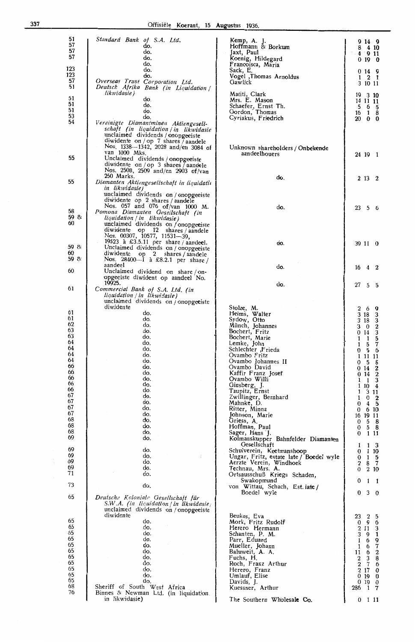| 51<br>57<br>57<br>57                                                                                                                         | Standard Bank of S.A. Ltd.<br>do.<br>do.<br>do.<br>do.                                                                                                                                                                  | Kemp, A. J.<br>Hoffmann & Borkum<br>Jaxt, Paul<br>Koenig, Hildegard<br>Francoisca, Maria                                                                                                                                                                                                                                                                                                                                                                                                                                     | 9149<br>8<br>410<br>4<br>911<br>0, 10, 0                                                                                                                                                                                                                                                                                                                                                                                                                                                                      |
|----------------------------------------------------------------------------------------------------------------------------------------------|-------------------------------------------------------------------------------------------------------------------------------------------------------------------------------------------------------------------------|------------------------------------------------------------------------------------------------------------------------------------------------------------------------------------------------------------------------------------------------------------------------------------------------------------------------------------------------------------------------------------------------------------------------------------------------------------------------------------------------------------------------------|---------------------------------------------------------------------------------------------------------------------------------------------------------------------------------------------------------------------------------------------------------------------------------------------------------------------------------------------------------------------------------------------------------------------------------------------------------------------------------------------------------------|
| 123<br>123<br>57<br>51                                                                                                                       | do.<br>do.<br>Overseas Trust Corporation Ltd.<br>Deutsch Afrika Bank (in Liquidation /                                                                                                                                  | Sack, E.<br>Vogel ,Thomas Arnoldus<br>Gawlick                                                                                                                                                                                                                                                                                                                                                                                                                                                                                | 0149<br>$1 \t2 \t1$<br>3 10 11                                                                                                                                                                                                                                                                                                                                                                                                                                                                                |
| 51<br>51<br>51<br>53<br>54                                                                                                                   | likwidasie)<br>do.<br>do.<br>do.<br>do.<br>Vereinigte Diamantminen Aktiengesell-<br>schaft (in liquidation in likwidasie<br>unclaimed dividends / onopgeeiste                                                           | Matiti, Clark<br>Mrs. E. Mason<br>Schaefer, Ernst Th.<br>Gordon, Thomas<br>Cyriakus, Friedrich                                                                                                                                                                                                                                                                                                                                                                                                                               | 19<br>3 10<br>14 11 11<br>5<br>6 5<br>18<br>16<br>20 0 0                                                                                                                                                                                                                                                                                                                                                                                                                                                      |
| 55                                                                                                                                           | diwidente on / op 7 shares / aandele<br>Nos. 1338—1342, 2028 and/en 3084 of<br>van 1000 Mks.<br>Unclaimed dividends / onopgeeiste<br>diwidente on / op 3 shares $\bar{ }$ aandele<br>Nos. 2508, 2509 and/en 2903 of/van | Unknown shareholders / Onbekende<br>aand <del>e</del> elhouers                                                                                                                                                                                                                                                                                                                                                                                                                                                               | 24 19 1                                                                                                                                                                                                                                                                                                                                                                                                                                                                                                       |
| 55                                                                                                                                           | 250 Marks.<br>Diamanten Aktiengesellschaft in liquidatio<br>in likwidasie)<br>unclaimed dividends on / onopgeeiste<br>diwidente op 2 shares / aandele                                                                   | do.                                                                                                                                                                                                                                                                                                                                                                                                                                                                                                                          | 2 13 2                                                                                                                                                                                                                                                                                                                                                                                                                                                                                                        |
| 58<br>59 &<br>60                                                                                                                             | Nos. 057 and 076 of/van 1000 M.<br>Pomona Diamanten Gesellschaft (in<br>liquidation / in likwidasie }<br>unclaimed dividends on / onopgeeiste<br>diwidente op<br>12 shares / aandele<br>Nos. 00307, 10577, 11531-39,    | do.                                                                                                                                                                                                                                                                                                                                                                                                                                                                                                                          | 23<br>56                                                                                                                                                                                                                                                                                                                                                                                                                                                                                                      |
| 59 &<br>60<br>59 &                                                                                                                           | 19523 à £3.5.11 per share / aandeel.<br>Unclaimed dividends on / onopgeeiste<br>diwidente<br>op 2 shares / aandele<br>Nos. 28400-1 à £8.2.1 per share /                                                                 | do.                                                                                                                                                                                                                                                                                                                                                                                                                                                                                                                          | 39 11 0                                                                                                                                                                                                                                                                                                                                                                                                                                                                                                       |
| 60                                                                                                                                           | aandeel<br>Unclaimed dividend on share / on-<br>opgeeiste diwident op aandeel No.                                                                                                                                       | do.                                                                                                                                                                                                                                                                                                                                                                                                                                                                                                                          | $16 \quad 4 \quad 2$                                                                                                                                                                                                                                                                                                                                                                                                                                                                                          |
| 61                                                                                                                                           | 19925.<br>Commercial Bank of S.A. Ltd. (in<br>liquidation / in likwidasie)<br>unclaimed dividends on / onopgeciste                                                                                                      | do.                                                                                                                                                                                                                                                                                                                                                                                                                                                                                                                          | 27<br>$5\quad 5$                                                                                                                                                                                                                                                                                                                                                                                                                                                                                              |
| 61<br>61<br>62<br>63<br>63<br>64<br>64<br>64<br>64<br>66<br>66<br>66<br>66<br>66<br>67<br>67<br>67<br>67<br>68<br>68<br>68<br>69<br>69<br>69 | diwidente<br>do.<br>do.<br>do.<br>do.<br>do.<br>do.<br>do.<br>do.<br>do.<br>do.<br>do.<br>do.<br>do.<br>do.<br>do.<br>do.<br>do.<br>do.<br>do.<br>do.<br>do.<br>do.<br>do.<br>do.<br>÷                                  | Stolze, M.<br>Helms, Walter<br>Sydow, Otto<br>Münch, Johannes<br>Bochert, Fritz<br>Bochert, Marie<br>Lemke, John<br>Schlechter ,Frieda<br>Ovambo Fritz<br>Ovambo Johannes II<br>Ovambo David<br>Kaffir Franz Josef<br>Ovambo Willi<br>Ginsberg, J.<br>Taupitz, Ernst<br>Zwillinger, Bernhard<br>Mahnke, D.<br>Ritter, Minna<br>Johnson, Marie<br>Griess, A.<br>Hoffman, Paul<br>Sager, Hans J.<br>Kolmanskupper Bahnfelder Diamanten<br>Gesellschaft<br>Schulverein, Keetmanshoop<br>Ungar, Fritz, estate late / Boedel wyle | 2<br>6<br>9<br>3 18<br>3<br>$\overline{\mathbf{3}}$<br>3 18<br>$\boldsymbol{2}$<br>3<br>$\bf{0}$<br>$\overline{\mathbf{3}}$<br>0.14<br>5<br>1<br>1<br>7<br>1<br>5<br>5<br>- 6<br>Ð<br>11 11<br>5<br>8<br>O.<br>$\frac{2}{2}$<br>014<br>014<br>$\overline{\mathbf{3}}$<br>$\mathbf{1}$<br>1<br>$\overline{4}$<br>10<br>1<br>311<br>$\overline{\mathbf{2}}$<br>1<br>$\theta$<br>$4\quad5$<br>0<br>0<br>6 10<br>16 19 11<br>0<br>5 8<br>58<br>0<br>111<br>0<br>1 <sub>3</sub><br>1<br>110<br>0<br>$1\quad5$<br>0 |
| 69<br>69<br>71<br>73                                                                                                                         | do.<br>do.<br>do.<br>do.                                                                                                                                                                                                | Aerzte Verein, Windhoek<br>Technau, Mrs. A.<br>Ortsausschuß Kriegs Schaden,<br>Swakopmund                                                                                                                                                                                                                                                                                                                                                                                                                                    | $\boldsymbol{2}$<br>8 <sub>7</sub><br>210<br>$\theta$<br>0<br>1<br>$\mathbf{I}$                                                                                                                                                                                                                                                                                                                                                                                                                               |
| 65                                                                                                                                           | Deutsche Koloniale Gesellschaft für<br>S.W.A. (in liquidation / in likwidasie)<br>unclaimed dividends on / onopgeeiste                                                                                                  | von Wittau, Schach, Est. late /<br>Boedel wyle                                                                                                                                                                                                                                                                                                                                                                                                                                                                               | 30<br>$\bf{0}$                                                                                                                                                                                                                                                                                                                                                                                                                                                                                                |
| 65<br>65<br>65<br>65<br>65<br>65<br>65<br>65<br>65<br>65<br>65<br>68<br>76                                                                   | diwidente<br>do.<br>do.<br>do.<br>do.<br>do.<br>do.<br>do.<br>do.<br>do.<br>do.<br>do.<br>Sheriff of South West Africa<br>Binnes & Newman Ltd. (in liquidation.<br>in likwidasie)                                       | Beukes, Eva<br>Mork, Fritz Rudolf<br>Herero Hermann<br>Schanten, P. M.<br>Parr, Eduard<br>Mueller, Johann<br>Baluweit, A. A.<br>Fuchs, H.<br>Roch, Franz Arthur<br>Herero, Franz<br>Umlauf, Elise<br>Davids, J.<br>Kuessner, Arthur<br>The Southern Wholesale Co.                                                                                                                                                                                                                                                            | $\,2$<br>23<br>5<br>$\overline{9}$ 6<br>0<br>3<br>2 1 1<br>$\mathbf{1}$<br>3<br>9<br>1<br>6<br>9<br>$\overline{7}$<br>1<br>6<br>11<br>$\boldsymbol{2}$<br>6<br>$\,2$<br>3<br>8<br>$\overline{2}$<br>$\overline{7}$<br>$\boldsymbol{\delta}$<br>$2\,17$<br>0<br>0190<br>0190<br>$1 \quad 7$<br>286<br>$0 \t11$                                                                                                                                                                                                 |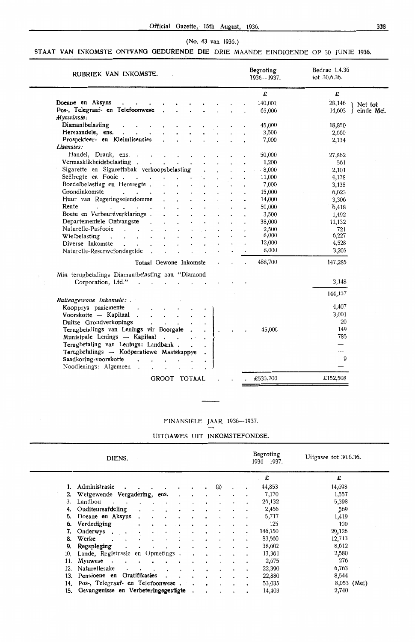# {No. 43 van 1936.)

# **STAAT VAN INKOMSTE ONTVANG GEDURENDE DIE** ORIE MAANDE EINDIOENDE OP 30 JUNIE 1936.

| RUBRIEK VAN INKOMSTE.                                                               |                                            |                   |                      |              |    |  | Begroting<br>1936-1937. | Bedrae 1.4.36<br>tot 30.6.36. |              |
|-------------------------------------------------------------------------------------|--------------------------------------------|-------------------|----------------------|--------------|----|--|-------------------------|-------------------------------|--------------|
|                                                                                     |                                            |                   |                      |              |    |  | £                       | £                             |              |
| Doeane en Aksyns<br>$\cdot$ $\cdot$ $\cdot$                                         |                                            |                   |                      |              |    |  | 140,000                 | 28,146                        | I Net tot    |
| Pos-, Telegraaf- en Telefoonwese                                                    |                                            |                   |                      |              |    |  | 65,000                  | 14,603                        | f einde Mei. |
| Mynwinste:                                                                          |                                            |                   |                      |              |    |  |                         |                               |              |
| Diamantbelasting<br>$\mathbf{r} = \mathbf{r}$ and $\mathbf{r} = \mathbf{r}$         |                                            |                   |                      |              |    |  | 45,000                  | 18,850                        |              |
| Hereaandele, ens.                                                                   |                                            |                   |                      |              |    |  | 3,500                   | 2,660                         |              |
| Prospekteer- en Kleimlisensies                                                      | $\ddot{\phantom{a}}$                       |                   |                      |              |    |  | 7,000                   | 2,134                         |              |
| Lisensies:                                                                          |                                            |                   |                      |              |    |  |                         |                               |              |
| Handel, Drank, ens.                                                                 |                                            |                   |                      |              |    |  | 50,000                  | 27,862                        |              |
| Vermaaklikheidsbelasting                                                            |                                            |                   |                      |              |    |  | 1,200                   | 561                           |              |
| Sigarette en Sigarettabak verkoopsbelasting                                         |                                            |                   |                      |              |    |  | 8,000                   | 2,101                         |              |
|                                                                                     |                                            |                   |                      |              |    |  | 11,000                  | 4,178                         |              |
| Seëlregte en Fooie<br>Boedelbelasting en Hereregte<br>Boedelbelasting en Hereregte. |                                            |                   |                      |              |    |  |                         |                               |              |
| Grondinkomste                                                                       |                                            |                   |                      |              |    |  | 7,000                   | 3,138                         |              |
| and a strategic con-                                                                |                                            |                   |                      |              |    |  | 15,000                  | 6,023                         |              |
| Huur van Regeringseiendomme                                                         |                                            |                   |                      |              |    |  | 14,000                  | 3,306                         |              |
| Rente<br><b>Contractor</b>                                                          | $\bullet$                                  |                   | $\ddot{\phantom{0}}$ | $\cdot$      |    |  | 50,000                  | 6,418                         |              |
| Boete en Verbeurdverklarings.                                                       |                                            |                   |                      |              |    |  | 3,500                   | 1,492                         |              |
| Departementele Ontvangste .                                                         | $\mathbf{r}$                               |                   |                      |              |    |  | 38,000                  | 11,132                        |              |
| Naturelle-Pasfooie<br><b><i>Contract Contract Services</i></b>                      | $\mathbf{r}$                               |                   |                      |              |    |  | 2,500                   | 721                           |              |
| Wielbelasting                                                                       |                                            |                   |                      |              |    |  | 8,000                   | 6,227                         |              |
| Diverse Inkomste<br>$\mathbf{L} = \mathbf{L}$                                       |                                            |                   |                      |              |    |  | 12,000                  | 4,528                         |              |
| Naturelle-Reserwefondsgelde.                                                        | $\mathbf{r}$                               | $\mathbf{r}$      |                      | $\mathbf{L}$ |    |  | 8,000                   | 3,205                         |              |
| Totaal Gewone Inkomste                                                              |                                            |                   |                      |              |    |  | 488,700                 | 147,285                       |              |
| Min terugbetalings Diamantbelasting aan "Diamond                                    |                                            |                   |                      |              |    |  |                         |                               |              |
| Corporation, Ltd."                                                                  |                                            |                   |                      |              |    |  |                         | 3,148                         |              |
|                                                                                     |                                            |                   |                      |              |    |  |                         | 144,137                       |              |
| Buitengewone Inkomste:                                                              |                                            |                   |                      |              |    |  |                         |                               |              |
| Koopprys paaiemente<br>$\ddot{\phantom{1}}$                                         | $\mathbf{r}$ , $\mathbf{r}$ , $\mathbf{r}$ |                   |                      |              |    |  |                         | 4,407                         |              |
| Voorskotte - Kapitaal                                                               |                                            |                   |                      |              |    |  |                         | 3,001                         |              |
| Duitse Grondverkopings                                                              |                                            |                   |                      |              |    |  |                         | 20                            |              |
| Terugbetalings van Lenings vir Boorgate.                                            |                                            |                   |                      | $\mathbf{r}$ | Ι. |  | 45,000                  | 149                           |              |
| Munisipale Lenings -- Kapitaal.                                                     |                                            | $\sim$ 100 $\sim$ |                      |              |    |  |                         | 785                           |              |
| Terugbetaling van Lenings: Landbank.                                                |                                            |                   |                      |              |    |  |                         | $\overline{\phantom{0}}$      |              |
| Terugbetalings -- Koöperatiewe Maatskappye                                          |                                            |                   |                      |              |    |  |                         |                               |              |
| Saadkoring-voorskotte                                                               |                                            |                   |                      |              |    |  |                         | 0                             |              |
| Noodlenings: Algemeen.                                                              |                                            |                   |                      |              |    |  |                         |                               |              |
|                                                                                     | $\mathbf{r}$ and $\mathbf{r}$              |                   |                      |              |    |  |                         |                               |              |
|                                                                                     | GROOT TOTAAL                               |                   |                      |              |    |  | £533,700                | £152,508                      |              |
|                                                                                     |                                            |                   |                      |              |    |  |                         |                               |              |

# FINANSIËLE JAAR 1936-1937.

|     | DIENS.                                    |  |     |           |           | Begroting<br>1936-1937. | Uitgawe tot 30.6.36. |
|-----|-------------------------------------------|--|-----|-----------|-----------|-------------------------|----------------------|
|     |                                           |  |     |           |           | £                       | £                    |
|     | Administrasie                             |  | (a) |           |           | 44,853                  | 14,698               |
|     | 2. Wetgewende Vergadering, ens.           |  |     |           |           | 7,170                   | 1,557                |
| 3.  | Landbou                                   |  |     |           |           | 26,132                  | 5,398                |
| 4.  | Ouditeursafdeling<br>$\bullet$<br>٠       |  |     |           |           | 2,456                   | 569                  |
|     | 5. Doeane en Aksyns<br>$\cdot$<br>$\cdot$ |  |     |           |           | 5,717                   | 1,419                |
|     | 6. Verdediging<br>$\bullet$<br>٠          |  |     | $\bullet$ | ٠         | - 125                   | 100                  |
|     | 7. Onderwys<br>$\cdot$<br>$\bullet$       |  |     |           |           | 146,150                 | 29,126               |
|     | 8. Werke<br>$\bullet$                     |  |     |           |           | 83,560                  | 12,713               |
| 9.  | Regspleging                               |  |     |           |           | 38,602                  | 8,612                |
|     | 10. Lande, Registrasie en Opmetings.      |  |     |           |           | 13,361                  | 2,580                |
| 11. | Mynwese                                   |  |     |           | $\bullet$ | 2,675                   | 276                  |
| 12. | Naturellesake<br>$\ddot{\phantom{0}}$     |  |     |           | $\bullet$ | 22,390                  | 6,763                |
|     | 13. Pensioene en Gratifikasies            |  |     |           |           | 22,880                  | 8,544                |
|     | 14. Pos-, Telegraaf- en Telefoonwese.     |  |     |           |           | 53,035                  | 8,053 (Mei)          |
|     | 15. Gevangenisse en Verbeteringsgestigte  |  |     |           |           | 14,403                  | 2,740                |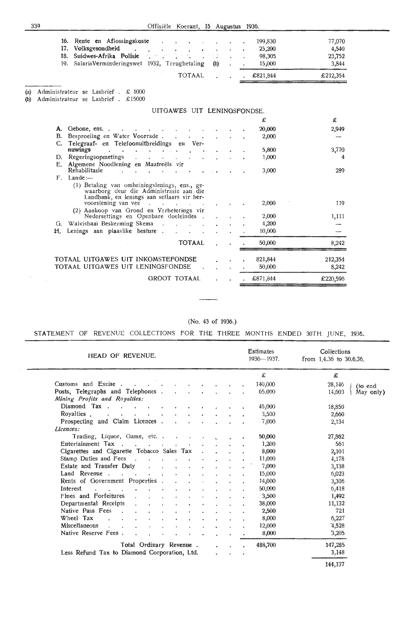339 Offisiële Koerant, 15 Augustus 1936.

|                                                      |  |  | 18. Suidwes-Afrika Polisie de la contratte de la contratte de la contratte de la contratte de la contratte de | 98,305 | 23,752 |
|------------------------------------------------------|--|--|---------------------------------------------------------------------------------------------------------------|--------|--------|
| 19. SalarisVerminderingswet 1932, Terugbetaling (b). |  |  |                                                                                                               | 15,000 | 3.844  |

(a) Administrateur se Lasbrief . £ 1000

(b) Administrateur se Lasbrief . £15000

| UITGAWES UIT LENINGSFONDSE. |                                                                                                                                                               |  |  |  |          |                |  |
|-----------------------------|---------------------------------------------------------------------------------------------------------------------------------------------------------------|--|--|--|----------|----------------|--|
|                             |                                                                                                                                                               |  |  |  | £        | £              |  |
|                             | A. Geboue, ens                                                                                                                                                |  |  |  | 20,000   | 2,949          |  |
| B.                          | Besproeiing en Water Voorrade.<br>$\mathbf{v} = \mathbf{v}$ .                                                                                                 |  |  |  | 2,000    |                |  |
|                             | C. Telegraaf- en Telefoonuitbreidings en Ver-                                                                                                                 |  |  |  |          |                |  |
|                             | nuwings<br>$\sim$ $\sim$                                                                                                                                      |  |  |  | 5,800    | 3,770          |  |
|                             | D. Regeringsopmetings .<br><b>Contract Contract State</b>                                                                                                     |  |  |  | 1,000    | $\overline{4}$ |  |
| E.                          | Algemene Noodlening en Maatreëls vir<br>Rehabilitasie                                                                                                         |  |  |  | 3,000    | 289            |  |
| $F_{\perp}$                 | $L$ ande: $-$                                                                                                                                                 |  |  |  |          |                |  |
|                             | (1) Betaling van omheiningslenings, ens., ge-<br>waarborg deur die Administrasie aan die<br>Landbank, en lenings aan setlaars vir her-<br>voorsiening van vee |  |  |  | 2,000    | 119            |  |
|                             | (2) Aankoop van Grond en Verbeterings vir<br>Nedersettings en Openbare doeleindes.                                                                            |  |  |  | 2,000    | 1,111          |  |
|                             | G. Walvisbaai Beskerming Skema.                                                                                                                               |  |  |  | 4,200    |                |  |
| Н.                          | Lenings aan plaaslike besture.                                                                                                                                |  |  |  | 10,000   |                |  |
|                             | <b>TOTAAL</b>                                                                                                                                                 |  |  |  | 50,000   | 8,242          |  |
|                             | TOTAAL UITGAWES UIT INKOMSTEFONDSE                                                                                                                            |  |  |  | 821,844  | 212,354        |  |
|                             | TOTAAL UITGAWES UIT LENINGSFONDSE                                                                                                                             |  |  |  | 50,000   | 8,242          |  |
|                             | <b>GROOT TOTAAL</b>                                                                                                                                           |  |  |  | £871,844 | £220,596       |  |
|                             |                                                                                                                                                               |  |  |  |          |                |  |

(No. 43 of 1936.)

STATEMENT OF REVENUE COLLECTIONS FOR THE THREE MONTHS ENDED 30TH JUNE, 1936.

| HEAD OF REVENUE.                                                   |                               |                                 |                          |  | <b>Estimates</b><br>1936-1937. | Collections<br>from $1.4.36$ to $30.6.36$ . |
|--------------------------------------------------------------------|-------------------------------|---------------------------------|--------------------------|--|--------------------------------|---------------------------------------------|
|                                                                    |                               |                                 |                          |  | £                              | £                                           |
| Customs and Excise.                                                |                               |                                 | <b>Contract Contract</b> |  | 140,000                        | 28,146<br>(to end                           |
| Posts, Telegraphs and Telephones.<br>Mining Profits and Royalties: |                               | $\mathcal{L}$                   |                          |  | 65,000                         | 14,603<br>May only)                         |
| Diamond Tax                                                        |                               | $\bullet$                       |                          |  | 45,000                         | 18,850                                      |
| Rovalties<br><b>Contract</b><br>All Concert Control                |                               |                                 |                          |  | 3,500                          | 2,660                                       |
| Prospecting and Claim Licences.                                    |                               |                                 |                          |  | 7,000                          | 2,134                                       |
| Licences:                                                          |                               |                                 |                          |  |                                |                                             |
| Trading, Liquor, Game, etc. .                                      |                               | the contract of the contract of |                          |  | 50,000                         | 27,862                                      |
| Entertainment Tax                                                  |                               |                                 |                          |  | 1,200                          | 561                                         |
| Cigarettes and Cigarette Tobacco Sales Tax                         |                               |                                 |                          |  | 8,000                          | 2,101                                       |
| Stamp Duties and Fees                                              |                               |                                 |                          |  | 11,000                         | 4,178                                       |
| Estate and Transfer Duty<br>$\ddot{\phantom{a}}$                   | and the state of the state of |                                 |                          |  | 7,000                          | 3,138                                       |
| Land Revenue                                                       |                               |                                 |                          |  | 15,000                         | 6,023                                       |
| Rents of Government Properties.                                    |                               |                                 |                          |  | 14,000                         | 3,306                                       |
| Interest<br>And Allen Artist<br>$\sim$                             |                               |                                 |                          |  | 50,000                         | 6,418                                       |
| Fines and Forfeitures                                              |                               |                                 |                          |  | 3,500                          | 1,492                                       |
| Departmental Receipts                                              |                               |                                 |                          |  | 38,000                         | 11,132                                      |
| Native Pass Fees                                                   |                               |                                 |                          |  | 2,500                          | 721                                         |
| Wheel Tax                                                          |                               |                                 |                          |  | 8,000                          | 6,227                                       |
| Miscellaneous                                                      |                               |                                 |                          |  | 12,000                         | 4,528                                       |
| Native Reserve Fees.                                               |                               |                                 |                          |  | 8,000                          | 3,205                                       |
| Total Ordinary Revenue.                                            |                               |                                 |                          |  | 488,700                        | 147,285                                     |
| Less Refund Tax to Diamond Corporation, Ltd.                       |                               |                                 |                          |  |                                | 3,148                                       |

144,137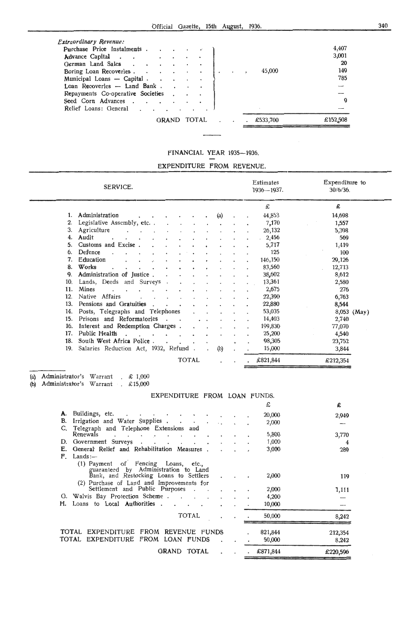| Seed Corn Advances.                                                                             | Q                    |
|-------------------------------------------------------------------------------------------------|----------------------|
| Loan Recoveries - Land Bank.<br>Repayments Co-operative Societies                               |                      |
| German Land Sales<br>Boring Loan Recoveries<br>Municipal Loans - Capital                        | 149<br>45,000<br>785 |
| Extraordinary Revenue:<br>Purchase Price Instalments<br>Advance Capital<br>$\ddot{\phantom{0}}$ | 4,407<br>3,001<br>20 |

# FINANCIAL YEAR 1935-1936.

EXPENDITURE FROM REVENUE.

|         | SERVICE.                                                                       |     |    | Estimates<br>$1936 - 1937.$ | Expenditure to<br>$30/6/36$ . |  |
|---------|--------------------------------------------------------------------------------|-----|----|-----------------------------|-------------------------------|--|
|         |                                                                                |     |    | £                           | £                             |  |
| $1_{-}$ | Administration                                                                 | (a) |    | 44,853                      | 14,698                        |  |
| 2.      | Legislative Assembly, etc                                                      |     |    | 7,170                       | 1,557                         |  |
| 3.      | Agriculture                                                                    |     |    | 26,132                      | 5,398                         |  |
| 4.      | Audit                                                                          |     |    | 2,456                       | 569                           |  |
| 5.      | Customs and Excise.                                                            |     |    | 5,717                       | 1,419                         |  |
| 6.      | Defence                                                                        |     |    | 125                         | 100                           |  |
| 7.      | Education                                                                      |     |    | 146,150                     | 29,126                        |  |
| 8.      | Works                                                                          |     |    | 83,560                      | 12,713                        |  |
| 9.      | Administration of Justice.                                                     |     |    | 38,602                      | 8,612                         |  |
| 10.     | Lands, Deeds and Surveys.                                                      |     |    | 13,361                      | 2,580                         |  |
| 11.     | Mines<br>$\sim$<br>$\sim$                                                      |     |    | 2,675                       | 276                           |  |
| 12.     | Native Affairs<br>$\cdot$ $\cdot$                                              |     |    | 22,390                      | 6,763                         |  |
| 13.     | Pensions and Gratuities                                                        |     |    | 22,880                      | 8,544                         |  |
| 14.     | Posts, Telegraphs and Telephones                                               |     |    | 53,035                      | 8,053 (May)                   |  |
| 15.     | Prisons and Reformatories<br>$\sim$                                            |     |    | 14,403                      | 2,740                         |  |
| 16.     | Interest and Redemption Charges.                                               |     |    | 199,830                     | 77,070                        |  |
|         | 17. Public Health<br>$\sim$<br>$\sim$<br>$\sim$ $\sim$<br>$\ddot{\phantom{a}}$ |     |    | 25,200                      | 4,540                         |  |
| 18.     | South West Africa Police.                                                      |     | Ł. | 98,305                      | 23,752                        |  |
| 19.     | Salaries Reduction Act, 1932, Refund.                                          | (b) |    | 15,000                      | 3,844                         |  |
|         | <b>TOTAL</b>                                                                   |     |    | £821,844                    | £212,354                      |  |

### (a) Administrator's Warrant £ 1,000

(b) Administrator's Warrant £15,000

|    | EXPENDITURE FROM LOAN FUNDS.                                                                                                                                       |  |                   |                  |
|----|--------------------------------------------------------------------------------------------------------------------------------------------------------------------|--|-------------------|------------------|
|    |                                                                                                                                                                    |  | £                 | £                |
| А. | Buildings, etc.                                                                                                                                                    |  | 20,000            | 2,949            |
| В. | Irrigation and Water Supplies.                                                                                                                                     |  | 2,000             |                  |
|    | Telegraph and Telephone Extensions and                                                                                                                             |  |                   |                  |
|    | Renewals<br>$\cdot$ $\cdot$<br>$\sim$                                                                                                                              |  | 5,800             | 3,770            |
| D. | Government Surveys<br>$\sim$<br>$\cdot$                                                                                                                            |  | 1,000             | 4                |
| Е. | General Relief and Rehabilitation Measures.                                                                                                                        |  | 3,000             | 289              |
| F. | Lands:                                                                                                                                                             |  |                   |                  |
|    | (1) Payment of Fencing Loans, etc.,<br>guaranteed by Administration to Land<br>Bank, and Restocking Loans to Settlers<br>(2) Purchase of Land and Improvements for |  | 2,000             | 119              |
|    | Settlement and Public Purposes                                                                                                                                     |  | 2,000             | 1,111            |
| G. | Walvis Bay Protection Scheme.                                                                                                                                      |  | 4,200             |                  |
| Н. | Loans to Local Authorities.                                                                                                                                        |  | 10,000            |                  |
|    | TOTAL                                                                                                                                                              |  | 50,000            | 8,242            |
|    | TOTAL EXPENDITURE FROM REVENUE FUNDS<br>TOTAL EXPENDITURE FROM LOAN FUNDS                                                                                          |  | 821,844<br>50,000 | 212,354<br>8,242 |
|    | <b>GRAND</b><br>TOTAL                                                                                                                                              |  | £871,844          | £220,596         |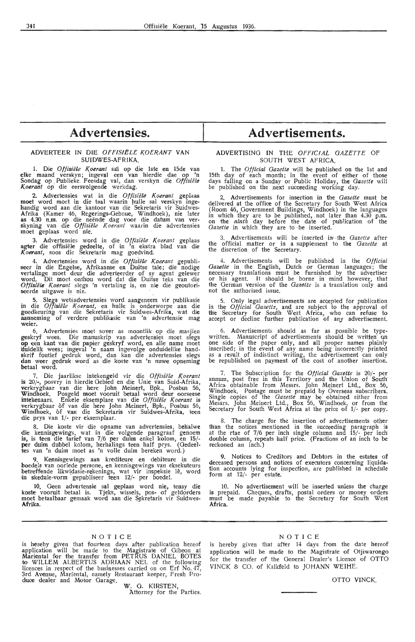# **Advertensies.**

# ADVERTEER IN DIE OFFISIELE KOERANT VAN SUIDWES-AFRIKA.

1. Die *Offisiële Koerant* sa' op die 1ste en 15de van elke maand verskyn; ingeval een van hierdie dae op 'n Sondag op Publieke Feesdag val, dan verskyn die *Offisiële* Koerant op die eersvolgende werkdag.

2. Advertensies wat in die *0//isii!le Koerant* geplaas moet word moet in die taal waarin hulle sal verskyn ingehandig word aan die kantoor van die Sekretaris vir Suidwes-Afrika (Kamer 46, Regerings-Geboue, Windhoek), nie later<br>**as 4.30 n.m.** op die neënde dag voor die datum van ver-<br>skyning van die *Offisiële Koerant* waarin die advertensies moet geplaas word nie.

3. Advertensies word in die Offisiële Koerant geplaas agter die offisiele gedeelte, of in 'n ekstra blad van die *K.oerant,* soos die Sekretaris mag goedvind.

4. Advertensies word in die *Offisiële Koerant* gepubli-<br>seer in die Engelse, Afrikaanse en Duitse tale; die nodige<br>vertalinge moet deur die adverteerder of sy agent gelewer word. Dit moet onthou word dat die Duitse teks van die Offisiële Koerant slegs 'n vertaling is, en nie die geoutoriseerde uitgawe is nie.

5. Slegs wetsadvertensies word aangeneem vir publikasie in die *Offisii!le Koerant,* en hulle is onderworpe aan die goedkeuring van die Sekretaris vir Suidwes-Afrika, wat die aanneming of verdere publikasie van 'n advertensie mag **weier.** 

6. Advertensies moet sover as moontlik op die masjien geskryf wees. Die manuskrip van advertensies moet slegs **op** een kant van die papier g,eskryf word, en aUe name moet duidelik wees; ingeval 'n naam ingevolge onduidelike hand**s**krif foutief gedruk word, dan kan die advertensies slegs dan weer gedruk word as die koste van 'n nuwe opneming betaal word.

7. Die jaarlikse intekengeld vir die Offisiële Koerant is 20/-, posvry in hierdie Gebied en die Unie van Suid-Afrika, verkrygbaar van die here John Meinert, Bpk., Posbus 56, Windhoek. Posgeld moet vooruit betaal word deur oorseese<br>intekenaars. Enkele eksemplare van die *Offisiële Koerant* is verkrygbaar of van die here John Meinert, Bpk., Posbus 56, Windhoek, of van die Sekretaris vir Suidwes-Afrika, teen die prys van 1/· per eksemplaar.

8. Die koste vir die opname van advertensies, beh'alwe die kennisgewings, wat in die volgende paragraaf genoem **is,** is teen die tarief van 7/6 per duim enkel kolom, en 15/- per duim dubbel kolom, herhalings teen half prys. (Gedeeltes van 'n duim moet as 'n volle duim bereken word.)

Kennisgewings aan krediteure en debiteure in die boedels van oorlede persone, en kennisgewings van eksekuteurs betreffende likwidasie-rekenings, wat vir inspeksie lê, word in skedule-vorm gepubliseer teen 12/- per boedel.

10. Geen advertensie sal geplaas word nie, tensy die koste vooruit betaal is. Tjeks, wissds, pos- of geldorders moet betaalbaar gemaak word aan die Sekretaris vir Suidwes-**Afrika.** 

# **Advertisements.**

# ADVERTISING IN THE OFFICIAL GAZETTE OF SOUTH WEST AFRICA.

1. The *Official Gazette* will he published on the 1st and 15th day of each month; in the event of either of those days falling on a Sunday or Public Holiday, the *Gazette* will be published on the next succeeding working day.

2. Advertisements for insertion in the *Gazette* must be delivered at the office of the Secretary for South West Africa (Room 46, Government Buildings, Windhoek) in the languages in which they are to be published, . not later than 4.30 p.m. on the *ninth* day before the date of pub/,iq1.tion of the Gazette in which they are to be inserted.

Advertisements will be inserted in the *Gazette* after the official matter or in a supplement to the *Gazette* at the discretion of the Secretary.

4. Advertisements will be published in the *Official Gazette* in the English, Dutch or German languages; the necessary translations must be furnished by the advertiser or his agent. It should be borne in mind however, that the German version of the *Gazette* is a translation only and not the authorised issue.

5. Only legal advertisements are acoepted for publication in the *Official Gazette*, and are subject to the approval of the Secretary for South West Africa, who can refuse to accept or decline further publication of any advertisement.

6. Advertisements should as far as possible be typewritten. Manuscript of advertisements should be written' on one side of the paper only, and all proper names plainly inscribed; in the event of any name being incorrectly printed as a result of indistinct writing, the advertisement can only be republished on payment of the cost of another insertion.

7. The Subscription for the *Official Gazette* is 20/· per annum, post free in this Territory and the Union of South Africa obtainable from Messrs. John Meinert Ltd., Box 56; Windhoek. Postage must be prepaid by Overseas subscribers. Single copies of the *Gazetle* may be obtained either from Messrs. John Meinert Ltd., Box 56, Windhoek, or from the Secretary for South West Africa at the price of 1/- per copy.

8. The charge for the insertion of advertisements other than the notices mentioned in the succeeding paragraph is at the rtae of 7/6 per inch single column and 15/- per inch double column, repeats half price. (Fractions of an inch to be reckoned an inch.)

9. Notices *to* Creditors and Debtors in the estates of deceased persons and notices of executors concerning liquidation accounts lying for inspection, are published in schedule form at 12/- per estate.

10. No advertisement will be inserted unless the charge is prepaid. Cheques, drafts, postal orders or money orders must be made payable to the Secretary for South West **Africa.** 

# NOTICE

is hereby given that fourteen days after publication hereof application will be made to the Magistrate of Gibeon at Mariental for the transfer from PETRUS DANIEL BOTES to WILLEM ALBERTUS ADRIAAN NEL of the following licences in respect of the businesses carried on on Erf No.  $4\widetilde{7},$ 3rd Avenue, Marfental, namely Restaurant keeper, Fresh Produce dealer and Motor Garage.

W. G. KIRSTEN, Attorney for the Parties.

# NOTICE

is hereby given that after 14 days from the date hereof application will be made to the Magistrate of Otjiwarongo for the transfer of the General Dealer's Licence of OTTO VINCK & CO. of Kalkfeld to JOHANN WEIHE.

OTTO VINCK.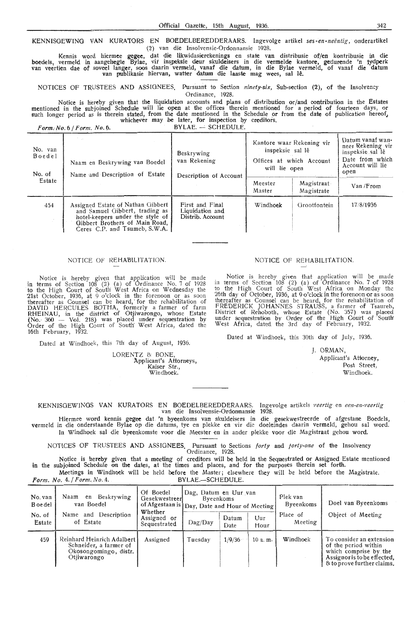KENNISGEWINO VAN KURATORS EN BOEDELBEREDDERAARS. lngevolge artikel *ses-en-neentig,* onderartikel (2) van die lrisolvensie-Ordonnansie 1928.

Kennis word hiermee gegee, dat die likwidasierekenings en state van distribusie of/en kontribusie in die boedels, vermeld in aangehegte Bylae, vir inspeksie deur skuldeisers in die vermelde kantore, gedurende 'n tydperk<br>van veertien dae of soveel langer, soos daarin vermeld, vanaf die datum, in die Bylae vermeld, of vanaf die

NOTICES OF TRUSTEES AND ASSIGNEES. Pursuant to Section *ninety-six,* Sub-section (2), of the Insolvency Ordinanoe, 1928.

Notice is hereby given that the liquidation accounts and plans of distribution or/and contribution in the Estates mentioned in the subjoined Schedule will lie open at the offices therein mentioned for a period of fourteen days, or<br>such longer period as is therein stated, from the date mentioned in the Schedule or from the date of publ whichever may be later, for inspection by creditors.<br> *Form: No. 6 / Form; No. 6.* BYLAE. -- SCHEDULE.

| No. van<br>Boedel<br>No. of | Naam en Beskrywing van Boedel<br>Name and Description of Estate                                                                                                            | Beskrywing<br>van Rekening<br>Description of Account   | Kantore waar Rekening vir<br>inspeksie sal lê<br>Offices at which Account<br>will lie open | Datum vanaf wan-<br>neer Rekening vir<br>inspeksie sal lê<br>Date from which<br>Account will lie<br>open |            |
|-----------------------------|----------------------------------------------------------------------------------------------------------------------------------------------------------------------------|--------------------------------------------------------|--------------------------------------------------------------------------------------------|----------------------------------------------------------------------------------------------------------|------------|
| Estate                      |                                                                                                                                                                            |                                                        | Meester<br>Master                                                                          | Magistraat<br>Magistrate                                                                                 | Van / From |
| 454                         | Assigned Estate of Nathan Gibbert<br>and Samuel Gibbert, trading as<br>hotel-keepers under the style of<br>Gibbert Brothers of Main Road,<br>Ceres C.P. and Tsumeb, S.W.A. | First and Final<br>Liquidation and<br>Distrib. Account | Windhoek                                                                                   | Grootfontein                                                                                             | 17/8/1936  |

# NOTICE OF REHABILITATION.

Notice is hereby given that application will be made in terms of Section 108 (2) (a) of Ordinance No. 7 of 1928 to the High Court of South' West Africa on Wednesday the 21st October, 1936, at 9 o'clock in the forenoon or as soon thereafter as Counsel can be heard, for the rehabilitation of DAVID HERCULES BOTHA, formerly a farmer of farm<br>RHEINAU, in the district of Otjiwarongo, whose Estate {No. 360 - Vol. 218.) was placed under sequestration by Order of the High Court of South' West Africa, dated the 16th February, 1932.

Dated at Windhoek, this 7th day of August, 1936.

LORENTZ & BONE,<br>
Applicant's Attorneys, Kaiser Str.,<br>Windhoek.

# NOTICE OF REHABILITATION

Notice is hereby given that application will be made in terms of Section  $10\overline{8}$  (2) (a) of Ordinance No. 7 of 1928 to the High Court of South West Africa on Monday the 26th day of October, 1936, at  $9 \text{ o}'$  clock in the forenoon or as soon thereafter as Counsel can be heard, for the rehabilitation of FREDERICK JOHANNES STRAUSS, a farmer of Tsaureb, District of Rehoboth, whose Estate (No. 357) was placed under sequestration by Order of the High Court of South West Africa, dated the 3rd day of February, 1932.

Dated at Windhoek, this 30th' day of July, 1936.

J. ORMAN, Applicant's Attorney. P.ost Street, Windhoek.

KENNISGEWINGS VAN KURATORS EN BOEDELBEREDDERAARS. Ingevolge artikels *veertig* en *een-en-veertig* van die Insolvensie-Ordonnansie 1928.

Hiermee word kennis gegee dat 'n byeenkoms van skuldeisers in die gesekwestreerde of afgestane Boedels, vermeld in die onderstaande Bylae op die datums, tye en plekke en vir die doeleindes daarin vermeld, gehou sal word. In Windhoek sal die byeenkomste voor die Meester en in ander plekke voor die Magistraat gehou word

NOTICES OF TRUSTEES AND ASSIGNEES. Pursuant to Sections *forty* and *forty-one* of the Insolvency Ordinance, 1928.

Notice is hereby given that a meeting of creditors will be held in the Sequestrated or Asstgned Estate mentioned in the subjoined Schedule on the dates, at the times and places, and for the purposes therein set forth. Meetings in Windhoek will be held before the Master; elsewhere they will be held before the Magistrate.<br> $\frac{BVIAE}{P} = \frac{SCHEDUIE}{P}$ .

*Form. No. 4. | Form. No. 4.* 

| No. van<br><b>B</b> oe del<br>No. of<br>Estate | Naam<br>Beskrywing<br>en<br>van Boedel<br>Description<br>Name<br>and<br>of Estate            | Of Boedel<br>Gesekwestreer<br>of Afgestaan is   Day, Date and Hour of Meeting  <br>Whether<br>Assigned or<br>Sequestrated | Dag, Datum en Uur van<br>Byeenkoms<br>$\text{Dag}/\text{Day}$ | Datum<br>Date | Uur<br>Hour | Plek van<br>Byeenkoms<br>Place of<br>Meeting | Doel van Byeenkoms<br>Object of Meeting                                                                                                |
|------------------------------------------------|----------------------------------------------------------------------------------------------|---------------------------------------------------------------------------------------------------------------------------|---------------------------------------------------------------|---------------|-------------|----------------------------------------------|----------------------------------------------------------------------------------------------------------------------------------------|
| 459                                            | Reinhard Heinrich Adalbert<br>Schneider, a farmer of<br>Okosongomingo, distr.<br>Otiiwarongo | Assigned                                                                                                                  | Tuesdav                                                       | 1/9/36        | 10 a.m.     | Windhoek                                     | To consider an extension<br>of the period within<br>which comprise by the<br>Assignor is to be effected.<br>& to prove further claims. |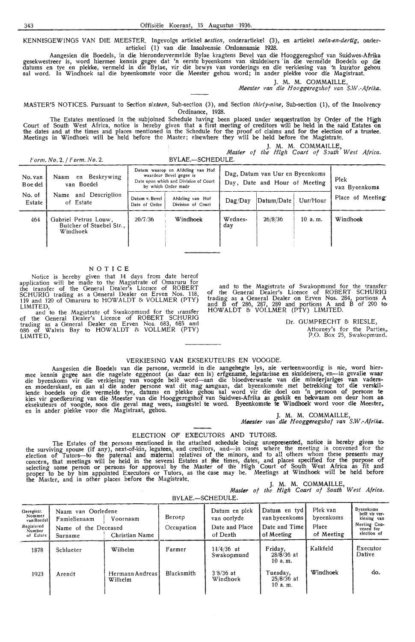KENNISGEWINGS VAN DIE MEESTER. Ingevolge artiekel *sestien,* onderartiekel (3), en artiekel *neen-en-dertig,* onderartiekel (1) van die Insolvensie Ordonnansie 1928.

Aangesien die Boedels, in die hierondervermelde Bylae kragtens Bevel van die Hooggeregshof van Suidwes-Afrika gesekwestreer is, word hiermee kennis gegee dat 'n eerste byeenkoms van skuldeisers in die vermelde Boedels op di**e** datums en tye en plekke, vermeld in die Bylae, vir die bewys van vorderings en die verkiesing van 'n kurator gehou sal word. In Windhoek sal die byeenkomste voor die Meester gehou word; in ander plek'ke voor die Magistraat.

**J. M. M.** COMMAILLE,

*Meester van die Hooggeregshof van S.W.-Afrika.* 

MASTER'S NOTICES. Pursuant to Section *sixteen,* Sub-section (3), and Section *thirty-nine,* Sub-section (1), of the Insolvency Ordinance, 1928.

The Estates mentioned in the subjoined Schedule having been placed under sequestration by Order of the High Court of South West Africa, notice is hereby given that a first meeting of creditors will be held in the said Estates on<br>the dates and at the times and places mentioned in the Schedule for the proof of claims and for the e Meetings in Windhoek will be held before the Master; elsewhere they will be held before the Magistrate.

**J. M. M.** COMMAILLE, *Master of the High Court of S,uth West Africa. Form. No.* 2. */ Form.No.* 2. BYLAE.-SCHEDULE.

| $L$ <i>UTIIL, IVU, 2, 1 L UTIIL, IVU, 2,</i> |                                                              | <u> DILAL. – SUILDULL,</u>                                                                                                  |                                       |                                                                  |                       |          |                  |
|----------------------------------------------|--------------------------------------------------------------|-----------------------------------------------------------------------------------------------------------------------------|---------------------------------------|------------------------------------------------------------------|-----------------------|----------|------------------|
| No. van<br>B oe del                          | en Beskrywing<br>Naam<br>van Boedel                          | Datum waarop en Afdeling van Hof<br>waardeur Bevel gegee is<br>Date upon which and Division of Court<br>by which Order made |                                       | Dag, Datum van Uur en Byeenkoms<br>Day, Date and Hour of Meeting | Plek<br>van Byeenkoms |          |                  |
| No. of<br>Estate                             | and Description<br>Name<br>of Estate                         | Datum v. Bevel<br>Date of Order                                                                                             | Afdeling van Hof<br>Division of Court | Daq/Dav                                                          | Datum/Date            | Uur/Hour | Place of Meeting |
| 464                                          | Gabriel Petrus Louw,<br>Butcher of Stuebel Str.,<br>Windhoek | 20/7/36                                                                                                                     | Windhoek                              | Wednes-<br>day                                                   | 26/8/36               | 10a.m.   | Windhoek         |

### **NOTICE**

Notice is hereby given that 14 days from date hereof application will be made to the Magistrate of Omaruru for the transfer of the General Dealer's Licence of ROBERT SCHURIG trading as a General Dealer on Erven Nos. 118, 119 and 120 of Omaruru to HOWALDT & VOLLMER (PTY)

LIMITED,<br>and to the Magistrate of Swakopmund for the transfer of the General Dealer's Licence of ROBERT SCHURIO trading as a Gen,eral Dealer on Erven Nos. 683, 685 and 686 of Walvis Bay to HOWALDT 8: VOLLMER (PTY) LIMITED,

and to the Magistrate of Swakopmund for the transfer-<br>of the General Dealer's Licence of ROBERT SCHURIG trading as a General Dealer on Erven Nos. 284, portions **A**  and B of 286, 287, 289 and portions **<sup>A</sup>**and B of 290 to:· HOWALDT & VOLLMER (PTY) LIMITED.

> Dr. GUMPRECHT & RIESLE, Attorney's for the Parties,, P.O. Box 25, Swakopmund.

# VERKIESINO **VAN** EKSEKUTEURS EN VOOGDE.

Aangesien die Boedels van die persone, vermeld in die aangehegte lys, nie verteenwoordig is nie, word hier-<br>mee kennis gegee aan die nagelate eggenoot (as daar een is) erfgename, legatarisse en skuldeisers, en—in gevalle w lende boedels op die vermelde tye, datums en plekke gehou sal word vir die doe! om 'n persoon Qf persone **te**  kies vir goedkeuring van die Meester van die Hooggeregshof van Suidwes-Afrika as geskik en bekwaam om deur hom as eksekuteurs of voogde, soos die geval mag wees, aangestel te word. Byeenkomste te Windhoek word voor die Meester, en in ander plekke voor die Magistraat, gehou.<br>
J. M. M. COMMAILLE,

*Meester van die Hooggeregshof van S.W.-Afrika.* 

### ELECTION OF EXECUTORS AND TUTORS.

The Estates of the persons mentioned in the attached schedule being unrepresented, notice is hereby given to<br>the surviving spouse (if any), next-of-kin, legatees, and creditors, and—in cases where the meeting is convened f election of Tutors-to the paternal and maternal relatives of the minors, and to all others whom these presents may concern, that meetings will be held in the several Estates at the times, dates, and places specified for the purpose of selecting some person or persons for approval by the Master of the High Court of South West Africa as fit and proper to be by him appointed Executors or Tutors, as the case may be. Meetings at Windhoek will be held before the Master, and in other places before the Magistrate. **I. A. M. COMMAILLE, Master** *of the High Court of South West Africa.* 

|                                                                         |                                                                       |                            |                      | BYLAE.-SCHEDULE.                                           |                                                              |                                              |                                                                                              |
|-------------------------------------------------------------------------|-----------------------------------------------------------------------|----------------------------|----------------------|------------------------------------------------------------|--------------------------------------------------------------|----------------------------------------------|----------------------------------------------------------------------------------------------|
| Geregistr.<br>Nommer<br>van Boedel<br>Regisiered<br>Number<br>of Estate | Naam van Oorledene<br>Famielienaam<br>Name of the Deceased<br>Surname | Voornaam<br>Christian Name | Beroep<br>Occupation | Datum en plek<br>van oorlyde<br>Date and Place<br>of Death | Datum en tyd<br>van byeenkoms<br>Date and Time<br>of Meeting | Plek van<br>byeenkoms<br>Place<br>of Meeting | <b>Byeenkoms</b><br>belê vir ver-<br>kiesing van<br>Meeting Con-<br>vened for<br>election of |
| 1878                                                                    | Schlueter                                                             | Wilhelm                    | Farmer               | $14/4/36$ at<br>Swakopmund                                 | Friday,<br>$28/8/36$ at<br>10a.m.                            | Kalkfeld                                     | Executor<br>Dative                                                                           |
| 1923                                                                    | Arendt                                                                | Hermann Andreas<br>Wilhelm | Blacksmith           | $3'8/36$ at<br>Windhoek                                    | Tuesdav.<br>$25/8/36$ at<br>10 a.m.                          | Windhoek                                     | do.                                                                                          |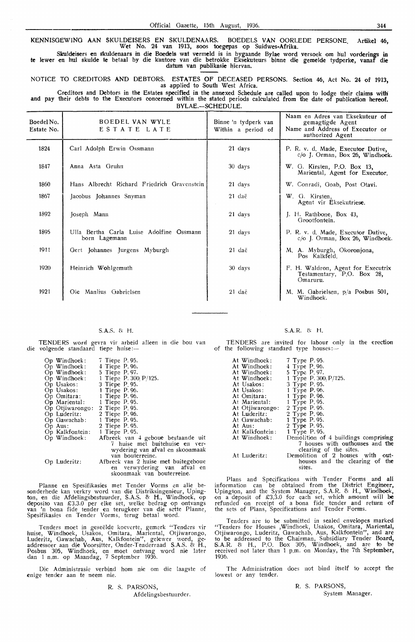KENNISGEWING AAN SKULDEISERS EN SKULDENAARS. BOEDELS VAN OORLEDE PERSONE. Artikel 46, Wet No. 24 van 1913, soos toegepas op Suidwes-Afrika.

Skuldeisers en skuldenaars in die Boedels wat vermeld is in bygaande Bylae word versoek om hul vorderings in te lewer en hul skulde te betaal by die kantore van die betrokke Eksekuteurs binne die gemelde tydperke, vanaf die datum van publikasie hiervan.

NOTICE TO CREDITORS AND DEBTORS. ESTATES OF DECEASED PERSONS. Section 46, Act No. 24 of 1913, as applied to South West Africa.

Creditors and Debtors in the Estates specified in the annexed Schedule are called upon to lodge their claims with and pay their debts to the Executors concerned within the stated periods calculated from the date of publication hereof. BYLAE.—SCHEDULE.

| Boedel No.<br>Estate No. | BOEDEL VAN WYLE<br>ESTATE LATE                            | Binne 'n tydperk van<br>Within a period of | Naam en Adres van Eksekuteur of<br>gemagtigde Agent<br>Name and Address of Executor or<br>authorized Agent |
|--------------------------|-----------------------------------------------------------|--------------------------------------------|------------------------------------------------------------------------------------------------------------|
| 1824                     | Carl Adolph Erwin Ossmann                                 | 21 days                                    | P. R. v. d. Made, Executor Dative,<br>c/o J. Orman, Box 26, Windhoek.                                      |
| 1847                     | Anna Asta Gruhn                                           | 30 days                                    | W. G. Kirsten, P.O. Box 13,<br>Mariental, Agent for Executor.                                              |
| 1860                     | Hans Albrecht Richard Friedrich Gravenstein               | 21 days                                    | W. Conradi, Goab, Post Otavi.                                                                              |
| 1867                     | Jacobus Johannes Snyman                                   | 21 daë                                     | W. G. Kirsten,<br>Agent vir Eksekutriese.                                                                  |
| 1892                     | Joseph Mann                                               | 21 days                                    | $\vert$ . H. Rathbone, Box 43.<br>Grootfontein.                                                            |
| 1895                     | Ulla Bertha Carla Luise Adolfine Ossmann<br>born Lagemann | 21 days                                    | P. R. v. d. Made, Executor Dative,<br>$c/O$ J. Orman, Box 26, Windhoek.                                    |
| 1911                     | Gert Johannes Jurgens Myburgh                             | 21 daë                                     | M. A. Myburgh, Okoronjona,<br>Pos Kalkfeld.                                                                |
| 1920                     | Heinrich Wohlgemuth                                       | 30 days                                    | F. H. Waldron, Agent for Executrix<br>Testamentary, P.O. Box 28,<br>Omaruru.                               |
| 1921                     | Manlius Gabrielsen<br>Ole                                 | $21$ daë                                   | M. M. Gabrielsen, p/a Posbus 501,<br>Windhoek.                                                             |

### S.A.S. & H.

TENDERS word gevra vir arbeid alleen in die bou van die volgende standaard tiepe huise :-

| $Op$ Windhoek:  | 7 Tiepe P. 95.                      |                                 |  |  |
|-----------------|-------------------------------------|---------------------------------|--|--|
| $Op$ Windhoek:  | 4 Tiepe P. 96.                      |                                 |  |  |
| $Op$ Windhoek:  | 5 Tiepe P.97.                       |                                 |  |  |
| $Op$ Windhoek:  | 1 Tiepe P. 300/P/125.               |                                 |  |  |
| Op Usakos:      | 3 Tiepe P. 95.                      |                                 |  |  |
| Op Usakos:      | 1 Tiepe P. 96.                      |                                 |  |  |
| Op Omitara:     | 1 Tiepe P. 96.                      |                                 |  |  |
| Op Mariental:   | 1 Tiepe P. 95.                      |                                 |  |  |
| Op Otjiwarongo: | 2 Tiepe P. 95.                      |                                 |  |  |
| Op Luderitz:    | 2 Tiepe P. 96.                      |                                 |  |  |
| Op Gawachab:    | 1 Tiepe P. 95.                      |                                 |  |  |
| $Op$ Aus:       | 2 Tiepe P. 95.                      |                                 |  |  |
| Op Kalkfontein: | 1 Tiepe P. 95.                      |                                 |  |  |
| $Op$ Windhoek:  | Afbreek van 4 geboue bestaande uit  |                                 |  |  |
|                 |                                     | 7 huise met buitehuise en ver-  |  |  |
|                 |                                     | wydering van afval en skoonmaak |  |  |
|                 |                                     | van bouterreine.                |  |  |
| Op Luderitz:    | Afbreek van 2 huise met buitegeboue |                                 |  |  |
|                 |                                     | en verwydering van afval en     |  |  |
|                 |                                     | skoonmaak van bouterreine.      |  |  |

Planne en Spesifikasies met Tender Vorms en alle besonderhede kan verkry word van die Distriksingenieur, Upington, en die Afdelingsbestuurder, S.A.S. & H., Windhoek, op deposito van £3.3.0 per elke set, welke bedrag op ontvangs van 'n bona fide tender en terugkeer van die sette Planne, Spesifikasies en Tender Vorms, terug betaal word.

Tenders moet in geseelde koeverte, gemerk "Tenders vir huise, Windhoek, Usakos, Omitara, Mariental, Otjiwarongo, Luderitz, Oawachab, Aus, Kalkfontein", gelewer word, geaddresseer aan die Voorsitter, Onder-Tenderraad S.A.S. & H., Posbus 305, Windhoek, en moet ontvang word nie later dan 1 n.m. op Maandag, 7 September 1936.

Die Administrasie verbind horn nie om die laagste of enige tender aan te neem nie.

R. S. PARSONS, Afdelingshestuurder.

### S.A.R. & H.

TENDERS are invited for labour only in the erection of the following standard type houses: $-$ 

| At Windhoek:    | 7 Type P.95.                         |
|-----------------|--------------------------------------|
| At Windhoek:    | 4 Type P. 96.                        |
| At Windhoek:    | 5 Type P. 97.                        |
| At Windhoek:    | 1 Type P. 300/P/125.                 |
| At Usakos:      | 3 Type P. 95.                        |
| At Usakos:      | 1 Type P.96.                         |
| At Omitara:     | 1 Type P.96.                         |
| At Mariental:   | 1 Type P. 95.                        |
| At Otiiwarongo: | 2 Type P.95.                         |
| At Luderitz:    | 2 Type P. 96.                        |
| At Gawachab:    | 1 Type P.95.                         |
| At Aus:         | 2 Type P.95.                         |
| At Kalkfontein: | 1 Type $P.95$ .                      |
| At Windhoek:    | Demolition of 4 buildings comprising |
|                 | 7 houses with outhouses and the      |
|                 | clearing of the sites.               |
| At Luderitz:    | Demolition of 2 houses with out-     |
|                 | houses and the clearing of the       |
|                 | sites.                               |

Plans and Specifications with Tender Forms and all information can be obtained from the District Engineer, Upington, and the System Manager, S.A.R. & **H.,** Wi1ndhoek, on a deposit of £3.3.0 for ·each set, which amount will **be**  refunded on receipt of a bona fide tender and return **of**  the sets of Plans, Specifications and Tender Forms.

Tenders are to be submitted in sealed envelopes marked "Tenders for Houses ,Windhoek, Usakos, Omitara, Mariental, Otjiwarongo, Luderitz, Gawachab, Aus, Kalkfontein", and are<br>to be addressed to the Chairman, Subsidiary Tender Board, S.A.R. & H., P.O. Box 305, Windhoek, and are to be received not later than 1 p.m. on Monday, the 7th September, 1936.

The Administration does not bind itself to accept the lowest or any tender.

> R. S. PARSONS, System Manager.